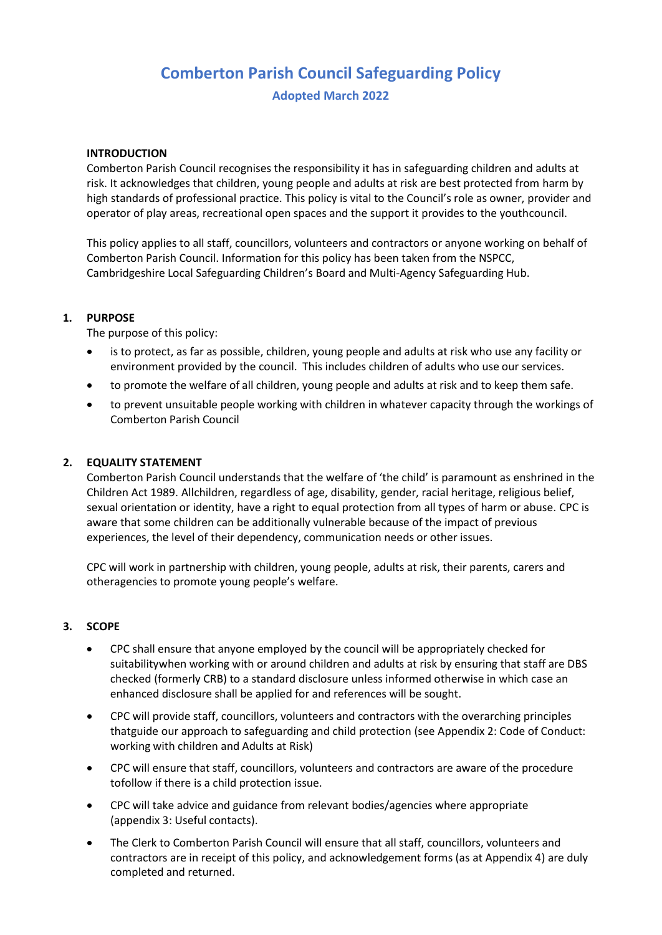# **Comberton Parish Council Safeguarding Policy**

**Adopted March 2022**

#### **INTRODUCTION**

Comberton Parish Council recognises the responsibility it has in safeguarding children and adults at risk. It acknowledges that children, young people and adults at risk are best protected from harm by high standards of professional practice. This policy is vital to the Council's role as owner, provider and operator of play areas, recreational open spaces and the support it provides to the youthcouncil.

This policy applies to all staff, councillors, volunteers and contractors or anyone working on behalf of Comberton Parish Council. Information for this policy has been taken from the NSPCC, Cambridgeshire Local Safeguarding Children's Board and Multi-Agency Safeguarding Hub.

#### **1. PURPOSE**

The purpose of this policy:

- is to protect, as far as possible, children, young people and adults at risk who use any facility or environment provided by the council. This includes children of adults who use our services.
- to promote the welfare of all children, young people and adults at risk and to keep them safe.
- to prevent unsuitable people working with children in whatever capacity through the workings of Comberton Parish Council

#### **2. EQUALITY STATEMENT**

Comberton Parish Council understands that the welfare of 'the child' is paramount as enshrined in the Children Act 1989. Allchildren, regardless of age, disability, gender, racial heritage, religious belief, sexual orientation or identity, have a right to equal protection from all types of harm or abuse. CPC is aware that some children can be additionally vulnerable because of the impact of previous experiences, the level of their dependency, communication needs or other issues.

CPC will work in partnership with children, young people, adults at risk, their parents, carers and otheragencies to promote young people's welfare.

#### **3. SCOPE**

- CPC shall ensure that anyone employed by the council will be appropriately checked for suitabilitywhen working with or around children and adults at risk by ensuring that staff are DBS checked (formerly CRB) to a standard disclosure unless informed otherwise in which case an enhanced disclosure shall be applied for and references will be sought.
- CPC will provide staff, councillors, volunteers and contractors with the overarching principles thatguide our approach to safeguarding and child protection (see Appendix 2: Code of Conduct: working with children and Adults at Risk)
- CPC will ensure that staff, councillors, volunteers and contractors are aware of the procedure tofollow if there is a child protection issue.
- CPC will take advice and guidance from relevant bodies/agencies where appropriate (appendix 3: Useful contacts).
- The Clerk to Comberton Parish Council will ensure that all staff, councillors, volunteers and contractors are in receipt of this policy, and acknowledgement forms (as at Appendix 4) are duly completed and returned.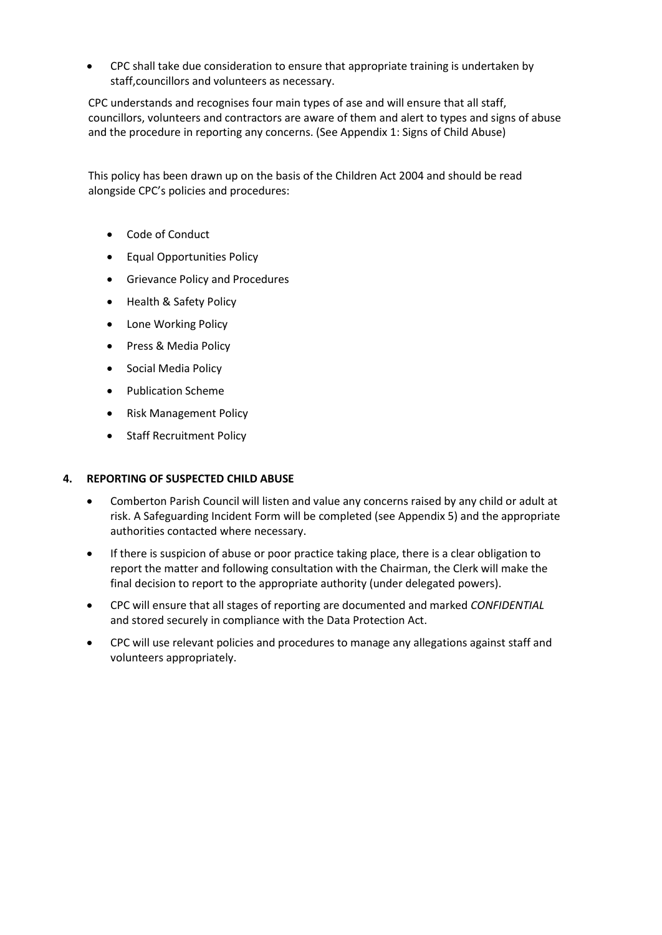• CPC shall take due consideration to ensure that appropriate training is undertaken by staff,councillors and volunteers as necessary.

CPC understands and recognises four main types of ase and will ensure that all staff, councillors, volunteers and contractors are aware of them and alert to types and signs of abuse and the procedure in reporting any concerns. (See Appendix 1: Signs of Child Abuse)

This policy has been drawn up on the basis of the Children Act 2004 and should be read alongside CPC's policies and procedures:

- Code of Conduct
- Equal Opportunities Policy
- Grievance Policy and Procedures
- Health & Safety Policy
- Lone Working Policy
- Press & Media Policy
- Social Media Policy
- Publication Scheme
- Risk Management Policy
- Staff Recruitment Policy

# **4. REPORTING OF SUSPECTED CHILD ABUSE**

- Comberton Parish Council will listen and value any concerns raised by any child or adult at risk. A Safeguarding Incident Form will be completed (see Appendix 5) and the appropriate authorities contacted where necessary.
- If there is suspicion of abuse or poor practice taking place, there is a clear obligation to report the matter and following consultation with the Chairman, the Clerk will make the final decision to report to the appropriate authority (under delegated powers).
- CPC will ensure that all stages of reporting are documented and marked *CONFIDENTIAL*  and stored securely in compliance with the Data Protection Act.
- CPC will use relevant policies and procedures to manage any allegations against staff and volunteers appropriately.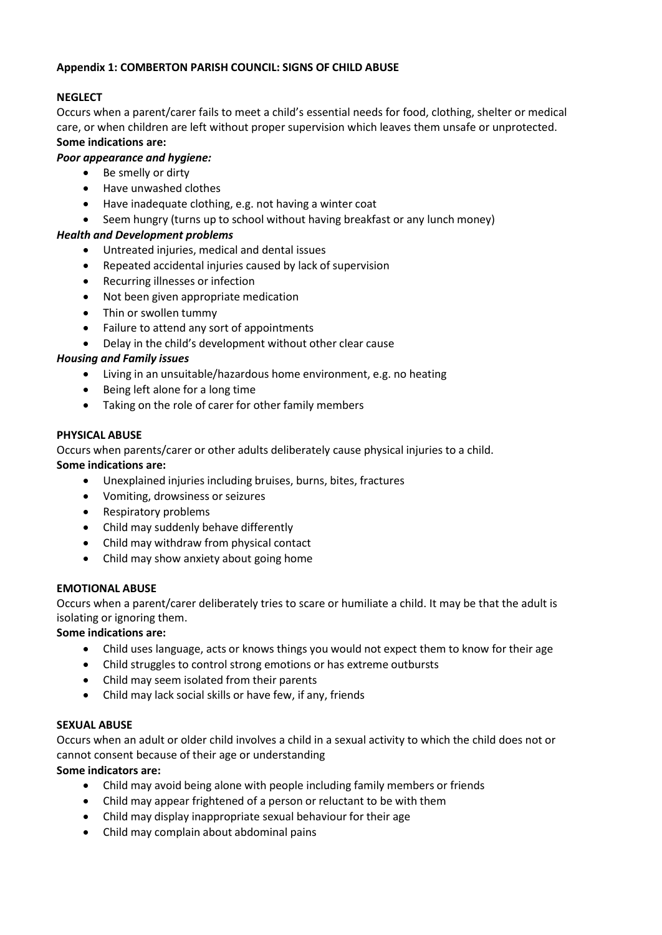#### **Appendix 1: COMBERTON PARISH COUNCIL: SIGNS OF CHILD ABUSE**

# **NEGLECT**

Occurs when a parent/carer fails to meet a child's essential needs for food, clothing, shelter or medical care, or when children are left without proper supervision which leaves them unsafe or unprotected. **Some indications are:**

# *Poor appearance and hygiene:*

- Be smelly or dirty
- Have unwashed clothes
- Have inadequate clothing, e.g. not having a winter coat
- Seem hungry (turns up to school without having breakfast or any lunch money)

# *Health and Development problems*

- Untreated injuries, medical and dental issues
- Repeated accidental injuries caused by lack of supervision
- Recurring illnesses or infection
- Not been given appropriate medication
- Thin or swollen tummy
- Failure to attend any sort of appointments
- Delay in the child's development without other clear cause

# *Housing and Family issues*

- Living in an unsuitable/hazardous home environment, e.g. no heating
- Being left alone for a long time
- Taking on the role of carer for other family members

# **PHYSICAL ABUSE**

Occurs when parents/carer or other adults deliberately cause physical injuries to a child. **Some indications are:**

- Unexplained injuries including bruises, burns, bites, fractures
- Vomiting, drowsiness or seizures
- Respiratory problems
- Child may suddenly behave differently
- Child may withdraw from physical contact
- Child may show anxiety about going home

# **EMOTIONAL ABUSE**

Occurs when a parent/carer deliberately tries to scare or humiliate a child. It may be that the adult is isolating or ignoring them.

# **Some indications are:**

- Child uses language, acts or knows things you would not expect them to know for their age
- Child struggles to control strong emotions or has extreme outbursts
- Child may seem isolated from their parents
- Child may lack social skills or have few, if any, friends

# **SEXUAL ABUSE**

Occurs when an adult or older child involves a child in a sexual activity to which the child does not or cannot consent because of their age or understanding

#### **Some indicators are:**

- Child may avoid being alone with people including family members or friends
- Child may appear frightened of a person or reluctant to be with them
- Child may display inappropriate sexual behaviour for their age
- Child may complain about abdominal pains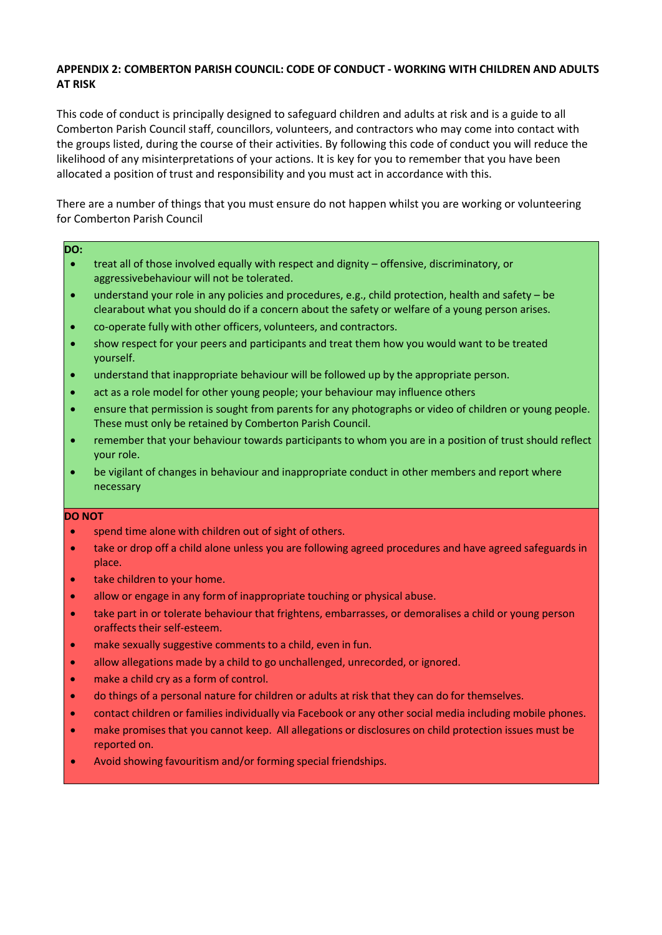#### **APPENDIX 2: COMBERTON PARISH COUNCIL: CODE OF CONDUCT - WORKING WITH CHILDREN AND ADULTS AT RISK**

This code of conduct is principally designed to safeguard children and adults at risk and is a guide to all Comberton Parish Council staff, councillors, volunteers, and contractors who may come into contact with the groups listed, during the course of their activities. By following this code of conduct you will reduce the likelihood of any misinterpretations of your actions. It is key for you to remember that you have been allocated a position of trust and responsibility and you must act in accordance with this.

There are a number of things that you must ensure do not happen whilst you are working or volunteering for Comberton Parish Council

#### **DO:**

- treat all of those involved equally with respect and dignity offensive, discriminatory, or aggressivebehaviour will not be tolerated.
- understand your role in any policies and procedures, e.g., child protection, health and safety be clearabout what you should do if a concern about the safety or welfare of a young person arises.
- co-operate fully with other officers, volunteers, and contractors.
- show respect for your peers and participants and treat them how you would want to be treated yourself.
- understand that inappropriate behaviour will be followed up by the appropriate person.
- act as a role model for other young people; your behaviour may influence others
- ensure that permission is sought from parents for any photographs or video of children or young people. These must only be retained by Comberton Parish Council.
- remember that your behaviour towards participants to whom you are in a position of trust should reflect your role.
- be vigilant of changes in behaviour and inappropriate conduct in other members and report where necessary

#### **DO NOT**

- spend time alone with children out of sight of others.
- take or drop off a child alone unless you are following agreed procedures and have agreed safeguards in place.
- take children to your home.
- allow or engage in any form of inappropriate touching or physical abuse.
- take part in or tolerate behaviour that frightens, embarrasses, or demoralises a child or young person oraffects their self-esteem.
- make sexually suggestive comments to a child, even in fun.
- allow allegations made by a child to go unchallenged, unrecorded, or ignored.
- make a child cry as a form of control.
- do things of a personal nature for children or adults at risk that they can do for themselves.
- contact children or families individually via Facebook or any other social media including mobile phones.
- make promises that you cannot keep. All allegations or disclosures on child protection issues must be reported on.
- Avoid showing favouritism and/or forming special friendships.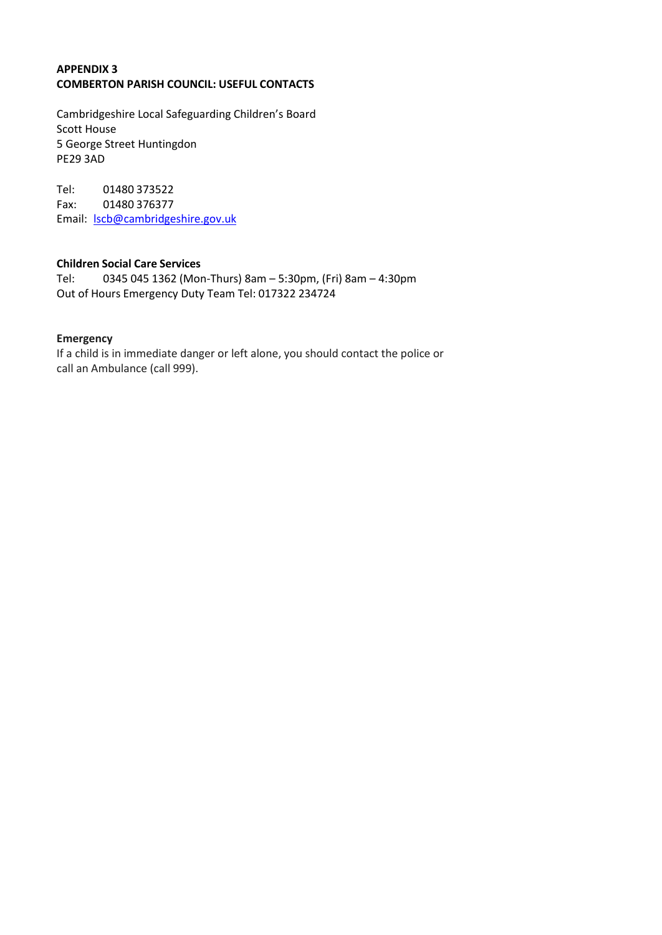# **APPENDIX 3 COMBERTON PARISH COUNCIL: USEFUL CONTACTS**

Cambridgeshire Local Safeguarding Children's Board Scott House 5 George Street Huntingdon PE29 3AD

Tel: 01480 373522 Fax: 01480 376377 Email: [lscb@cambridgeshire.gov.uk](mailto:lscb@cambridgeshire.gov.uk)

# **Children Social Care Services**

Tel: 0345 045 1362 (Mon-Thurs) 8am – 5:30pm, (Fri) 8am – 4:30pm Out of Hours Emergency Duty Team Tel: 017322 234724

#### **Emergency**

If a child is in immediate danger or left alone, you should contact the police or call an Ambulance (call 999).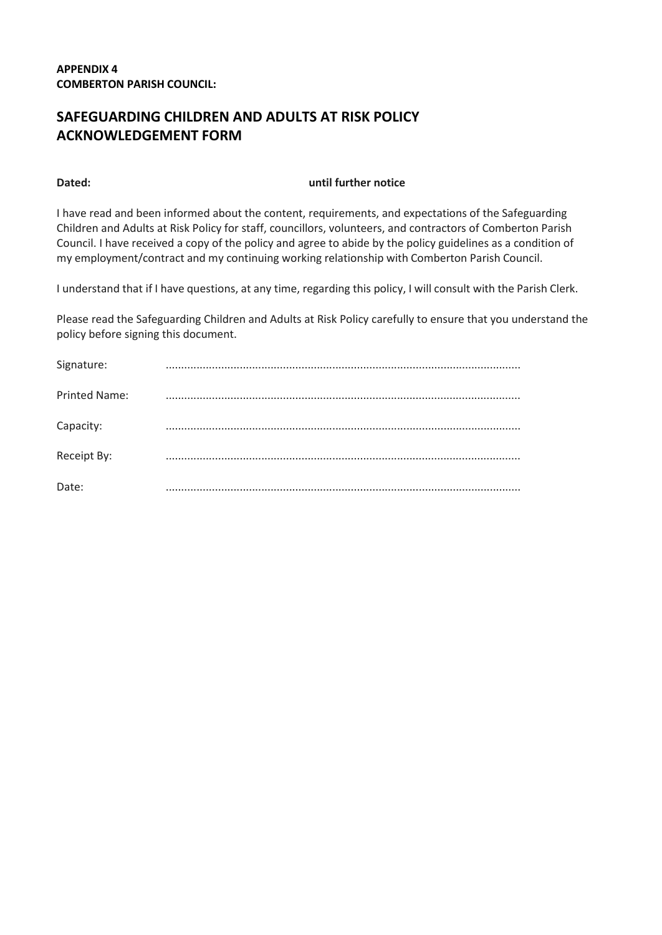# **SAFEGUARDING CHILDREN AND ADULTS AT RISK POLICY ACKNOWLEDGEMENT FORM**

#### **Dated: until further notice**

I have read and been informed about the content, requirements, and expectations of the Safeguarding Children and Adults at Risk Policy for staff, councillors, volunteers, and contractors of Comberton Parish Council. I have received a copy of the policy and agree to abide by the policy guidelines as a condition of my employment/contract and my continuing working relationship with Comberton Parish Council.

I understand that if I have questions, at any time, regarding this policy, I will consult with the Parish Clerk.

Please read the Safeguarding Children and Adults at Risk Policy carefully to ensure that you understand the policy before signing this document.

| Signature:           |  |
|----------------------|--|
| <b>Printed Name:</b> |  |
| Capacity:            |  |
| Receipt By:          |  |
| Date:                |  |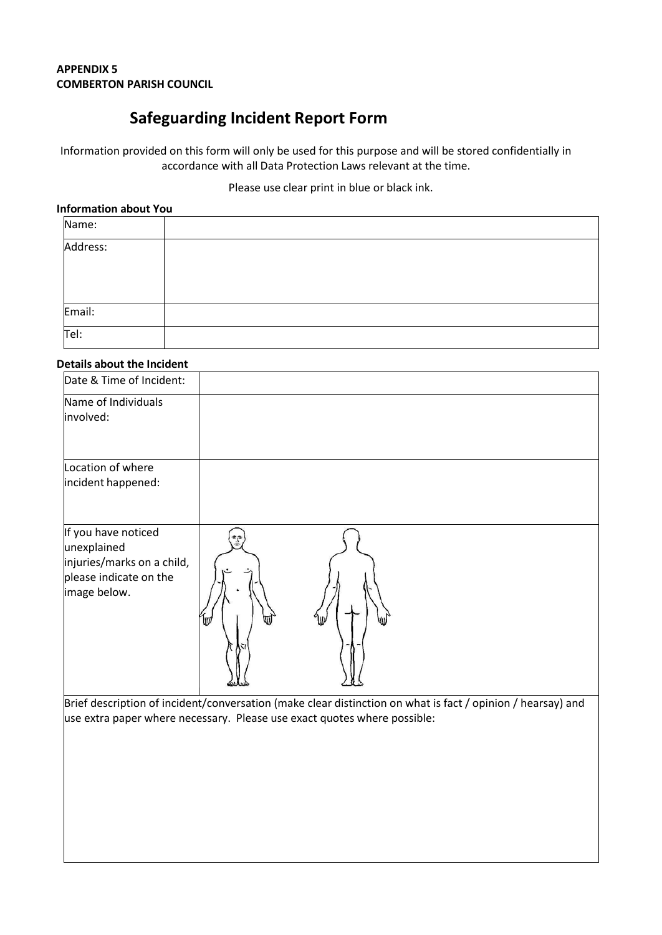# **APPENDIX 5 COMBERTON PARISH COUNCIL**

# **Safeguarding Incident Report Form**

Information provided on this form will only be used for this purpose and will be stored confidentially in accordance with all Data Protection Laws relevant at the time.

Please use clear print in blue or black ink.

#### **Information about You**

| Name:    |  |
|----------|--|
| Address: |  |
|          |  |
|          |  |
| Email:   |  |
| Tel:     |  |

#### **Details about the Incident**

| Date & Time of Incident:                                                                                   |          |  |  |
|------------------------------------------------------------------------------------------------------------|----------|--|--|
| Name of Individuals<br>involved:                                                                           |          |  |  |
| Location of where<br>incident happened:                                                                    |          |  |  |
| If you have noticed<br>unexplained<br>injuries/marks on a child,<br>please indicate on the<br>image below. | 캴<br>lΠũ |  |  |

Brief description of incident/conversation (make clear distinction on what is fact / opinion / hearsay) and use extra paper where necessary. Please use exact quotes where possible: